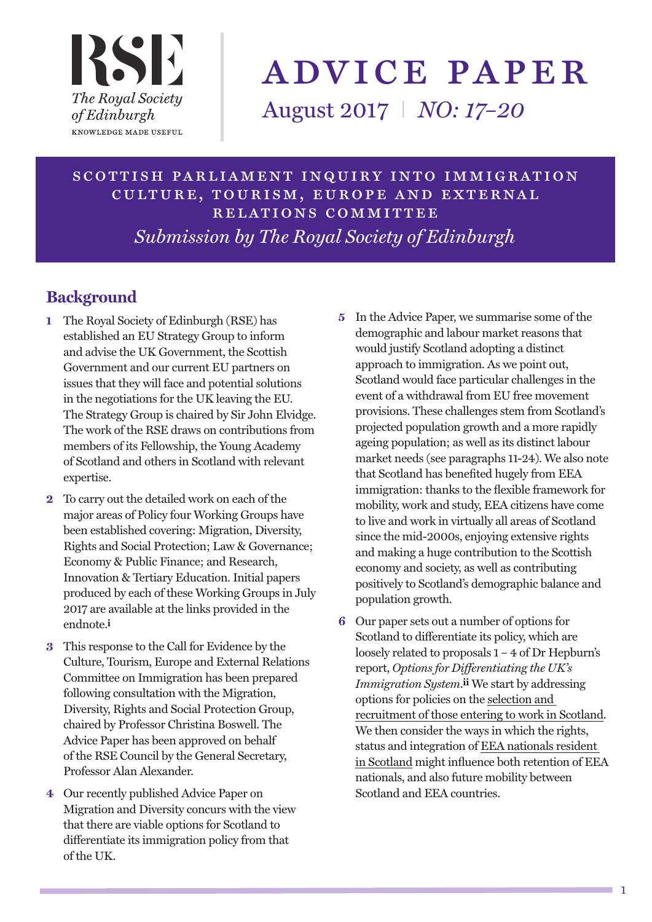

# advice paper

August 2017 I *NO: 17–20*

scottish parliament inquiry into immigration culture, tourism, europe and external relations committee *Submission by The Royal Society of Edinburgh*

## **Background**

- **1** The Royal Society of Edinburgh (RSE) has established an EU Strategy Group to inform and advise the UK Government, the Scottish Government and our current EU partners on issues that they will face and potential solutions in the negotiations for the UK leaving the EU. The Strategy Group is chaired by Sir John Elvidge. The work of the RSE draws on contributions from members of its Fellowship, the Young Academy of Scotland and others in Scotland with relevant expertise.
- **2** To carry out the detailed work on each of the major areas of Policy four Working Groups have been established covering: Migration, Diversity, Rights and Social Protection; Law & Governance; Economy & Public Finance; and Research, Innovation & Tertiary Education. Initial papers produced by each of these Working Groups in July 2017 are available at the links provided in the endnote.**i**
- **3** This response to the Call for Evidence by the Culture, Tourism, Europe and External Relations Committee on Immigration has been prepared following consultation with the Migration, Diversity, Rights and Social Protection Group, chaired by Professor Christina Boswell. The Advice Paper has been approved on behalf of the RSE Council by the General Secretary, Professor Alan Alexander.
- **4** Our recently published Advice Paper on Migration and Diversity concurs with the view that there are viable options for Scotland to differentiate its immigration policy from that of the UK.
- **5** In the Advice Paper, we summarise some of the demographic and labour market reasons that would justify Scotland adopting a distinct approach to immigration. As we point out, Scotland would face particular challenges in the event of a withdrawal from EU free movement provisions. These challenges stem from Scotland's projected population growth and a more rapidly ageing population; as well as its distinct labour market needs (see paragraphs 11-24). We also note that Scotland has benefited hugely from EEA immigration: thanks to the flexible framework for mobility, work and study, EEA citizens have come to live and work in virtually all areas of Scotland since the mid-2000s, enjoying extensive rights and making a huge contribution to the Scottish economy and society, as well as contributing positively to Scotland's demographic balance and population growth.
- **6** Our paper sets out a number of options for Scotland to differentiate its policy, which are loosely related to proposals 1 – 4 of Dr Hepburn's report, *Options for Differentiating the UK's Immigration System*.**ii** We start by addressing options for policies on the selection and recruitment of those entering to work in Scotland. We then consider the ways in which the rights, status and integration of EEA nationals resident in Scotland might influence both retention of EEA nationals, and also future mobility between Scotland and EEA countries.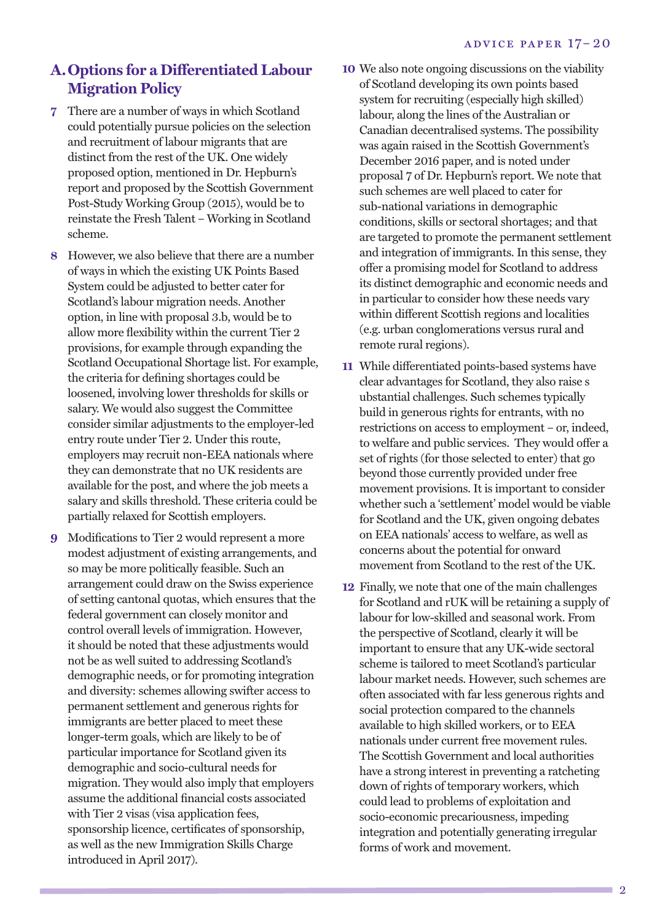#### **A.Options for a Differentiated Labour Migration Policy**

- **7** There are a number of ways in which Scotland could potentially pursue policies on the selection and recruitment of labour migrants that are distinct from the rest of the UK. One widely proposed option, mentioned in Dr. Hepburn's report and proposed by the Scottish Government Post-Study Working Group (2015), would be to reinstate the Fresh Talent – Working in Scotland scheme.
- **8** However, we also believe that there are a number of ways in which the existing UK Points Based System could be adjusted to better cater for Scotland's labour migration needs. Another option, in line with proposal 3.b, would be to allow more flexibility within the current Tier 2 provisions, for example through expanding the Scotland Occupational Shortage list. For example, the criteria for defining shortages could be loosened, involving lower thresholds for skills or salary. We would also suggest the Committee consider similar adjustments to the employer-led entry route under Tier 2. Under this route, employers may recruit non-EEA nationals where they can demonstrate that no UK residents are available for the post, and where the job meets a salary and skills threshold. These criteria could be partially relaxed for Scottish employers.
- **9** Modifications to Tier 2 would represent a more modest adjustment of existing arrangements, and so may be more politically feasible. Such an arrangement could draw on the Swiss experience of setting cantonal quotas, which ensures that the federal government can closely monitor and control overall levels of immigration. However, it should be noted that these adjustments would not be as well suited to addressing Scotland's demographic needs, or for promoting integration and diversity: schemes allowing swifter access to permanent settlement and generous rights for immigrants are better placed to meet these longer-term goals, which are likely to be of particular importance for Scotland given its demographic and socio-cultural needs for migration. They would also imply that employers assume the additional financial costs associated with Tier 2 visas (visa application fees, sponsorship licence, certificates of sponsorship, as well as the new Immigration Skills Charge introduced in April 2017).
- **10** We also note ongoing discussions on the viability of Scotland developing its own points based system for recruiting (especially high skilled) labour, along the lines of the Australian or Canadian decentralised systems. The possibility was again raised in the Scottish Government's December 2016 paper, and is noted under proposal 7 of Dr. Hepburn's report. We note that such schemes are well placed to cater for sub-national variations in demographic conditions, skills or sectoral shortages; and that are targeted to promote the permanent settlement and integration of immigrants. In this sense, they offer a promising model for Scotland to address its distinct demographic and economic needs and in particular to consider how these needs vary within different Scottish regions and localities (e.g. urban conglomerations versus rural and remote rural regions).
- **11** While differentiated points-based systems have clear advantages for Scotland, they also raise s ubstantial challenges. Such schemes typically build in generous rights for entrants, with no restrictions on access to employment – or, indeed, to welfare and public services. They would offer a set of rights (for those selected to enter) that go beyond those currently provided under free movement provisions. It is important to consider whether such a 'settlement' model would be viable for Scotland and the UK, given ongoing debates on EEA nationals' access to welfare, as well as concerns about the potential for onward movement from Scotland to the rest of the UK.
- **12** Finally, we note that one of the main challenges for Scotland and rUK will be retaining a supply of labour for low-skilled and seasonal work. From the perspective of Scotland, clearly it will be important to ensure that any UK-wide sectoral scheme is tailored to meet Scotland's particular labour market needs. However, such schemes are often associated with far less generous rights and social protection compared to the channels available to high skilled workers, or to EEA nationals under current free movement rules. The Scottish Government and local authorities have a strong interest in preventing a ratcheting down of rights of temporary workers, which could lead to problems of exploitation and socio-economic precariousness, impeding integration and potentially generating irregular forms of work and movement.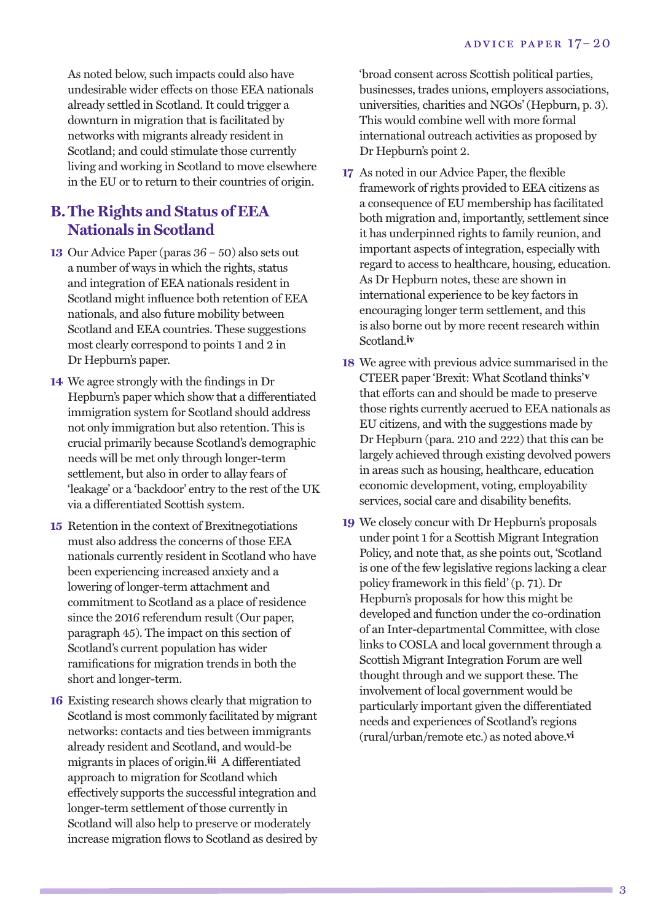As noted below, such impacts could also have undesirable wider effects on those EEA nationals already settled in Scotland. It could trigger a downturn in migration that is facilitated by networks with migrants already resident in Scotland; and could stimulate those currently living and working in Scotland to move elsewhere in the EU or to return to their countries of origin.

#### **B.The Rights and Status of EEA Nationals in Scotland**

- **13** Our Advice Paper (paras 36 50) also sets out a number of ways in which the rights, status and integration of EEA nationals resident in Scotland might influence both retention of EEA nationals, and also future mobility between Scotland and EEA countries. These suggestions most clearly correspond to points 1 and 2 in Dr Hepburn's paper.
- **14** We agree strongly with the findings in Dr Hepburn's paper which show that a differentiated immigration system for Scotland should address not only immigration but also retention. This is crucial primarily because Scotland's demographic needs will be met only through longer-term settlement, but also in order to allay fears of 'leakage' or a 'backdoor' entry to the rest of the UK via a differentiated Scottish system.
- **15** Retention in the context of Brexitnegotiations must also address the concerns of those EEA nationals currently resident in Scotland who have been experiencing increased anxiety and a lowering of longer-term attachment and commitment to Scotland as a place of residence since the 2016 referendum result (Our paper, paragraph 45). The impact on this section of Scotland's current population has wider ramifications for migration trends in both the short and longer-term.
- **16** Existing research shows clearly that migration to Scotland is most commonly facilitated by migrant networks: contacts and ties between immigrants already resident and Scotland, and would-be migrants in places of origin.**iii** A differentiated approach to migration for Scotland which effectively supports the successful integration and longer-term settlement of those currently in Scotland will also help to preserve or moderately increase migration flows to Scotland as desired by

'broad consent across Scottish political parties, businesses, trades unions, employers associations, universities, charities and NGOs' (Hepburn, p. 3). This would combine well with more formal international outreach activities as proposed by Dr Hepburn's point 2.

- **17** As noted in our Advice Paper, the flexible framework of rights provided to EEA citizens as a consequence of EU membership has facilitated both migration and, importantly, settlement since it has underpinned rights to family reunion, and important aspects of integration, especially with regard to access to healthcare, housing, education. As Dr Hepburn notes, these are shown in international experience to be key factors in encouraging longer term settlement, and this is also borne out by more recent research within Scotland.**iv**
- **18** We agree with previous advice summarised in the CTEER paper 'Brexit: What Scotland thinks'**v** that efforts can and should be made to preserve those rights currently accrued to EEA nationals as EU citizens, and with the suggestions made by Dr Hepburn (para. 210 and 222) that this can be largely achieved through existing devolved powers in areas such as housing, healthcare, education economic development, voting, employability services, social care and disability benefits.
- **19** We closely concur with Dr Hepburn's proposals under point 1 for a Scottish Migrant Integration Policy, and note that, as she points out, 'Scotland is one of the few legislative regions lacking a clear policy framework in this field' (p. 71). Dr Hepburn's proposals for how this might be developed and function under the co-ordination of an Inter-departmental Committee, with close links to COSLA and local government through a Scottish Migrant Integration Forum are well thought through and we support these. The involvement of local government would be particularly important given the differentiated needs and experiences of Scotland's regions (rural/urban/remote etc.) as noted above.**vi**